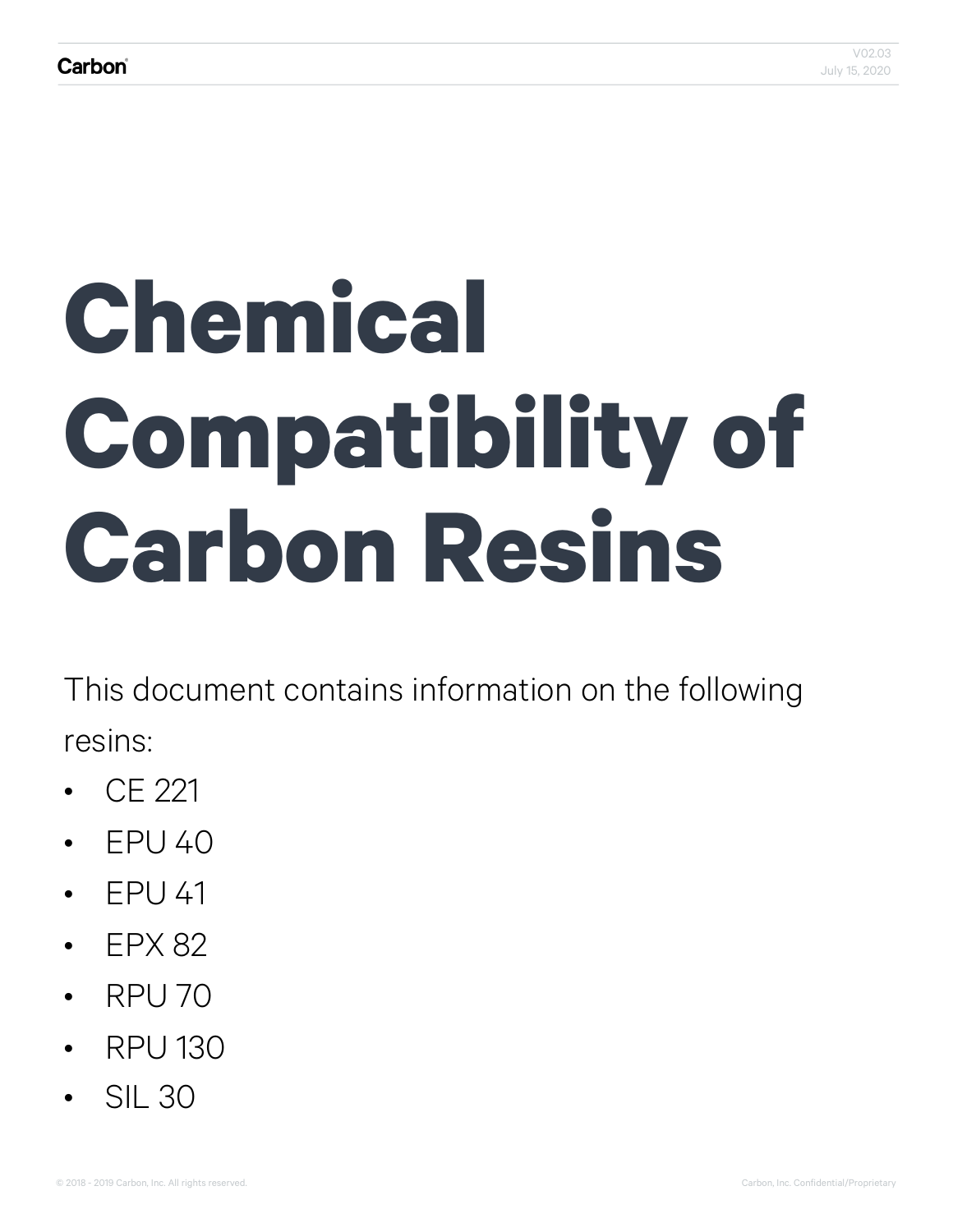# **Chemical Compatibility of Carbon Resins**

This document contains information on the following resins:

- CE 221
- EPU 40
- EPU 41
- FPX 82
- $\cdot$  RPU 70
- RPU 130
- SIL 30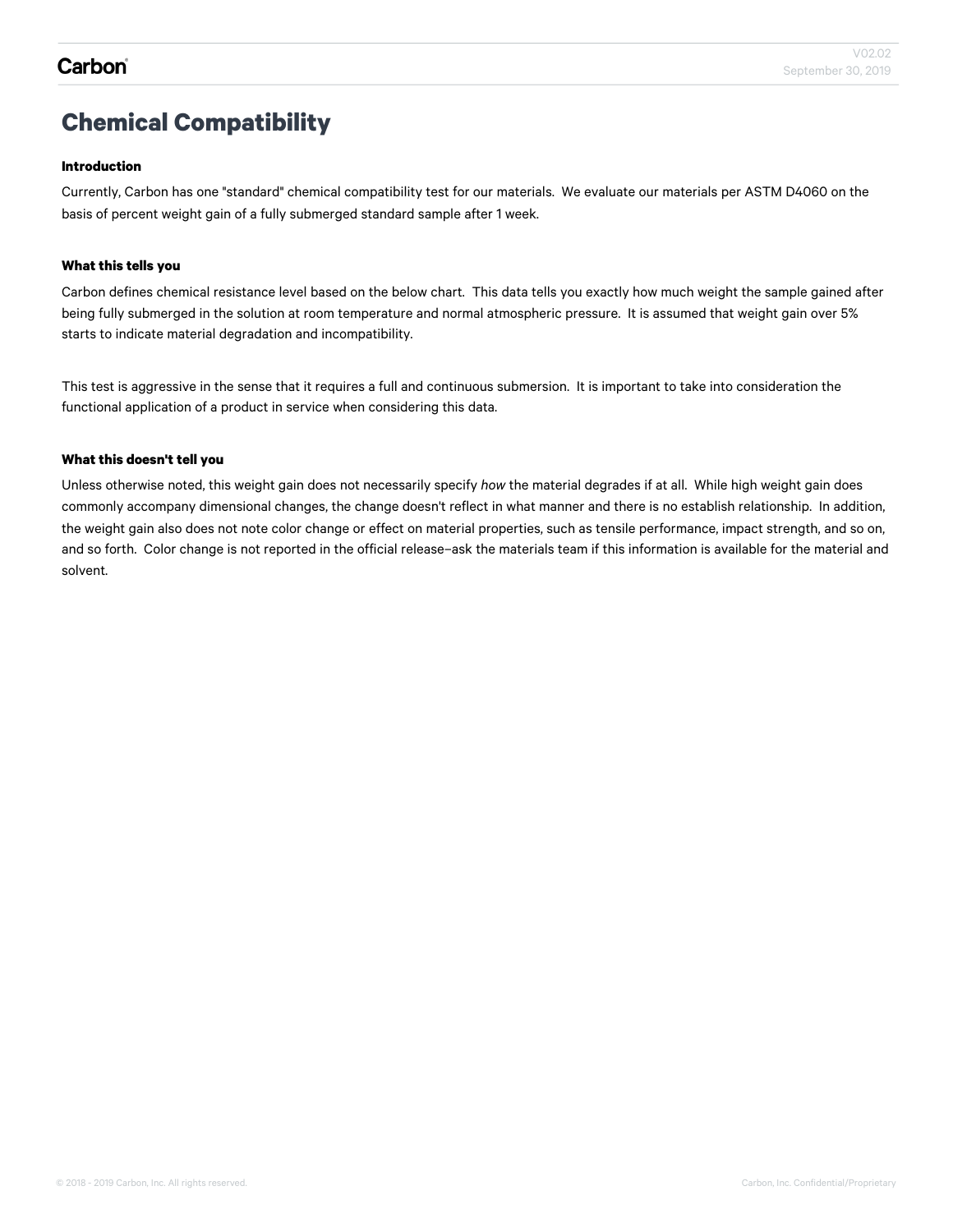## **Chemical Compatibility**

#### **Introduction**

Currently, Carbon has one "standard" chemical compatibility test for our materials. We evaluate our materials per ASTM D4060 on the basis of percent weight gain of a fully submerged standard sample after 1 week.

#### **What this tells you**

Carbon defines chemical resistance level based on the below chart. This data tells you exactly how much weight the sample gained after being fully submerged in the solution at room temperature and normal atmospheric pressure. It is assumed that weight gain over 5% starts to indicate material degradation and incompatibility.

This test is aggressive in the sense that it requires a full and continuous submersion. It is important to take into consideration the functional application of a product in service when considering this data.

#### **What this doesn't tell you**

Unless otherwise noted, this weight gain does not necessarily specify *how* the material degrades if at all. While high weight gain does commonly accompany dimensional changes, the change doesn't reflect in what manner and there is no establish relationship. In addition, the weight gain also does not note color change or effect on material properties, such as tensile performance, impact strength, and so on, and so forth. Color change is not reported in the official release–ask the materials team if this information is available for the material and solvent.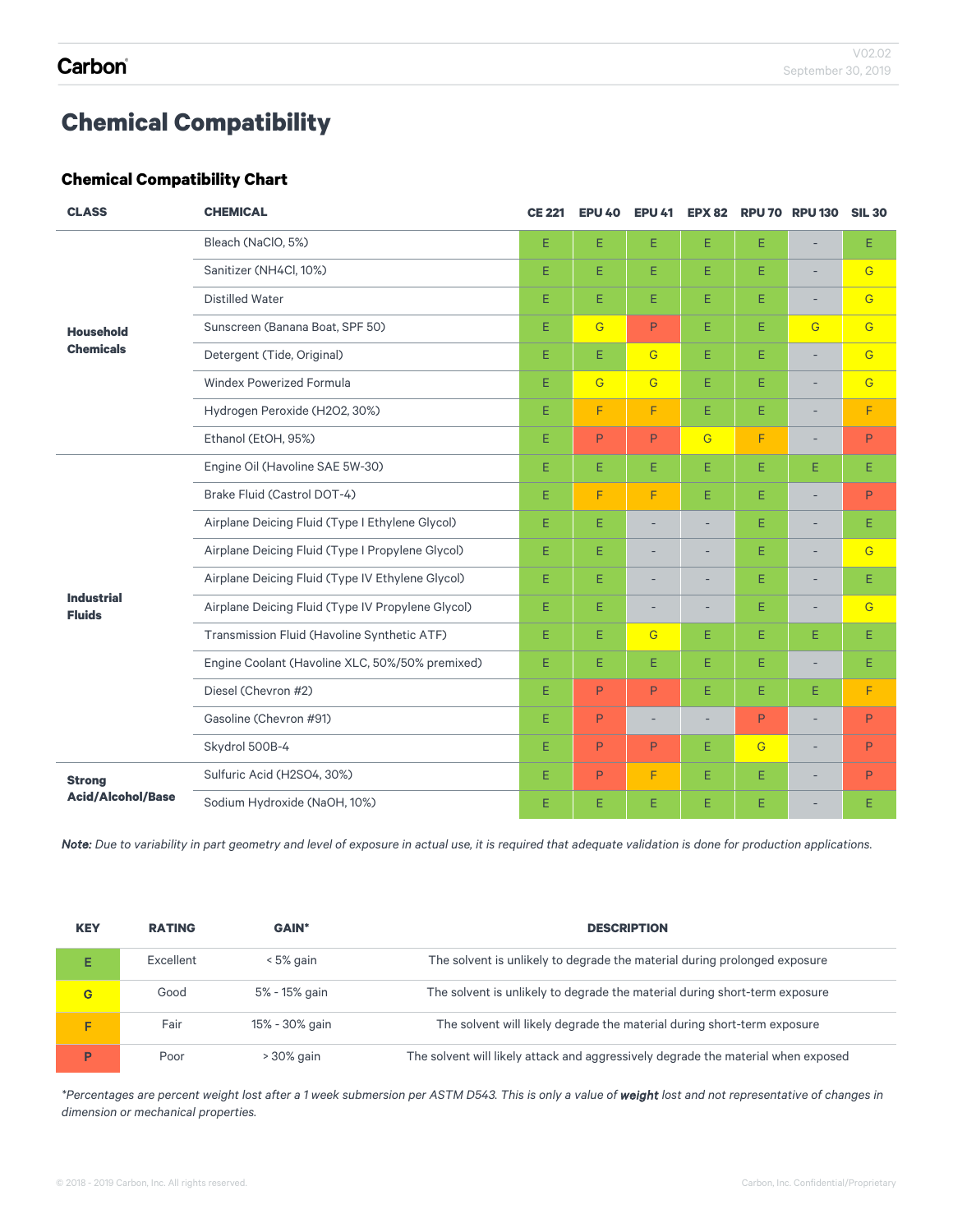## **Chemical Compatibility**

### **Chemical Compatibility Chart**

| <b>CLASS</b>                       | <b>CHEMICAL</b>                                   | <b>CE 221</b> | <b>EPU 40</b>  | <b>EPU 41</b>  | <b>EPX 82</b>  |                | <b>RPU 70 RPU 130</b>    | <b>SIL 30</b>  |
|------------------------------------|---------------------------------------------------|---------------|----------------|----------------|----------------|----------------|--------------------------|----------------|
|                                    | Bleach (NaClO, 5%)                                | E.            | E              | E.             | E              | E              | ÷                        | Е              |
|                                    | Sanitizer (NH4Cl, 10%)                            |               | Е              | E              | E.             | E.             |                          | G              |
|                                    | <b>Distilled Water</b>                            |               | Е              | E.             | E.             | E.             | $\overline{\phantom{a}}$ | G              |
| <b>Household</b>                   | Sunscreen (Banana Boat, SPF 50)                   |               | G              | P              | E.             | E              | $\overline{G}$           | G              |
| <b>Chemicals</b>                   | Detergent (Tide, Original)                        |               | Е              | $\overline{G}$ | E.             | E.             |                          | G              |
|                                    | <b>Windex Powerized Formula</b>                   |               | $\overline{G}$ | $\overline{G}$ | E.             | E.             | -                        | $\overline{G}$ |
|                                    | Hydrogen Peroxide (H2O2, 30%)                     | E.            | F              | F              | E.             | E.             |                          | F              |
|                                    | Ethanol (EtOH, 95%)                               | E.            | P              | P              | $\overline{G}$ | F              | $\overline{\phantom{a}}$ | P              |
|                                    | Engine Oil (Havoline SAE 5W-30)                   | E.            | E.             | E.             | E              | E.             | E.                       | Ε              |
|                                    | Brake Fluid (Castrol DOT-4)                       | E.            | F              | F              | E.             | E.             | $\overline{\phantom{a}}$ | P              |
|                                    | Airplane Deicing Fluid (Type I Ethylene Glycol)   | E.            | Е              | ۳              |                | E.             | ÷                        | Ε              |
|                                    | Airplane Deicing Fluid (Type I Propylene Glycol)  |               | E              |                |                | E.             | $\overline{\phantom{a}}$ | $\overline{G}$ |
|                                    | Airplane Deicing Fluid (Type IV Ethylene Glycol)  |               | Е              |                |                | Ε              |                          | Ε              |
| <b>Industrial</b><br><b>Fluids</b> | Airplane Deicing Fluid (Type IV Propylene Glycol) | E.            | Ε              | ۰              |                | E.             | ٠                        | $\overline{G}$ |
|                                    | Transmission Fluid (Havoline Synthetic ATF)       | E             | E              | $\overline{G}$ | E.             | E.             | E.                       | Ε              |
|                                    | Engine Coolant (Havoline XLC, 50%/50% premixed)   | E.            | Е              | E              | E              | Ε              |                          | Ε              |
|                                    | Diesel (Chevron #2)                               | E.            | P              | P              | E.             | E.             | E.                       | F              |
|                                    | Gasoline (Chevron #91)                            | E.            | P              | ۰              |                | P              |                          | P              |
|                                    | Skydrol 500B-4                                    | E.            | P              | P              | E              | $\overline{G}$ | $\overline{\phantom{a}}$ | P              |
| <b>Strong</b>                      | Sulfuric Acid (H2SO4, 30%)                        | E.            | P              | F              | E              | E              |                          | P              |
| <b>Acid/Alcohol/Base</b>           | Sodium Hydroxide (NaOH, 10%)                      | E             | Е              | E              | Е              | E              |                          | Ε              |

*Note: Due to variability in part geometry and level of exposure in actual use, it is required that adequate validation is done for production applications.*

| <b>KEY</b> | <b>RATING</b> | <b>GAIN*</b>   | <b>DESCRIPTION</b>                                                                |
|------------|---------------|----------------|-----------------------------------------------------------------------------------|
|            | Excellent     | < 5% gain      | The solvent is unlikely to degrade the material during prolonged exposure         |
| G          | Good          | 5% - 15% gain  | The solvent is unlikely to degrade the material during short-term exposure        |
| F          | Fair          | 15% - 30% gain | The solvent will likely degrade the material during short-term exposure           |
| Þ          | Poor          | > 30% gain     | The solvent will likely attack and aggressively degrade the material when exposed |

*\*Percentages are percent weight lost after a 1 week submersion per ASTM D543. This is only a value of weight lost and not representative of changes in dimension or mechanical properties.*